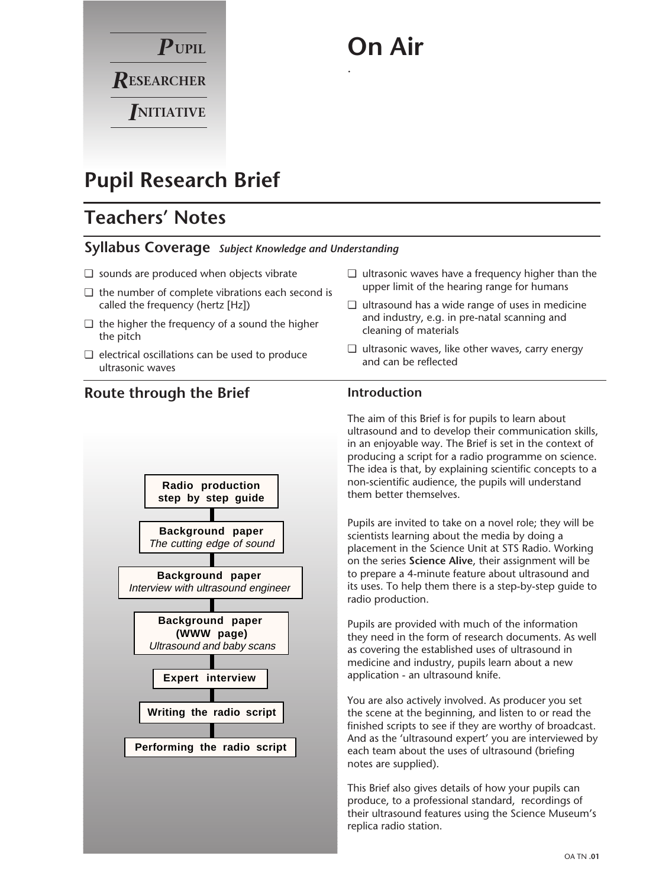# $P$ upil  $R$ ESEARCHER *I***NITIATIVE**

# **On Air**

.

# **Pupil Research Brief**

# **Teachers' Notes**

### **Syllabus Coverage** *Subject Knowledge and Understanding*

- ❏ sounds are produced when objects vibrate
- ❏ the number of complete vibrations each second is called the frequency (hertz [Hz])
- ❏ the higher the frequency of a sound the higher the pitch
- ❏ electrical oscillations can be used to produce ultrasonic waves

# **Route through the Brief**



- ❏ ultrasonic waves have a frequency higher than the upper limit of the hearing range for humans
- ❏ ultrasound has a wide range of uses in medicine and industry, e.g. in pre-natal scanning and cleaning of materials
- ❏ ultrasonic waves, like other waves, carry energy and can be reflected

## **Introduction**

The aim of this Brief is for pupils to learn about ultrasound and to develop their communication skills, in an enjoyable way. The Brief is set in the context of producing a script for a radio programme on science. The idea is that, by explaining scientific concepts to a non-scientific audience, the pupils will understand them better themselves.

Pupils are invited to take on a novel role; they will be scientists learning about the media by doing a placement in the Science Unit at STS Radio. Working on the series **Science Alive**, their assignment will be to prepare a 4-minute feature about ultrasound and its uses. To help them there is a step-by-step guide to radio production.

Pupils are provided with much of the information they need in the form of research documents. As well as covering the established uses of ultrasound in medicine and industry, pupils learn about a new application - an ultrasound knife.

You are also actively involved. As producer you set the scene at the beginning, and listen to or read the finished scripts to see if they are worthy of broadcast. And as the 'ultrasound expert' you are interviewed by each team about the uses of ultrasound (briefing notes are supplied).

This Brief also gives details of how your pupils can produce, to a professional standard, recordings of their ultrasound features using the Science Museum's replica radio station.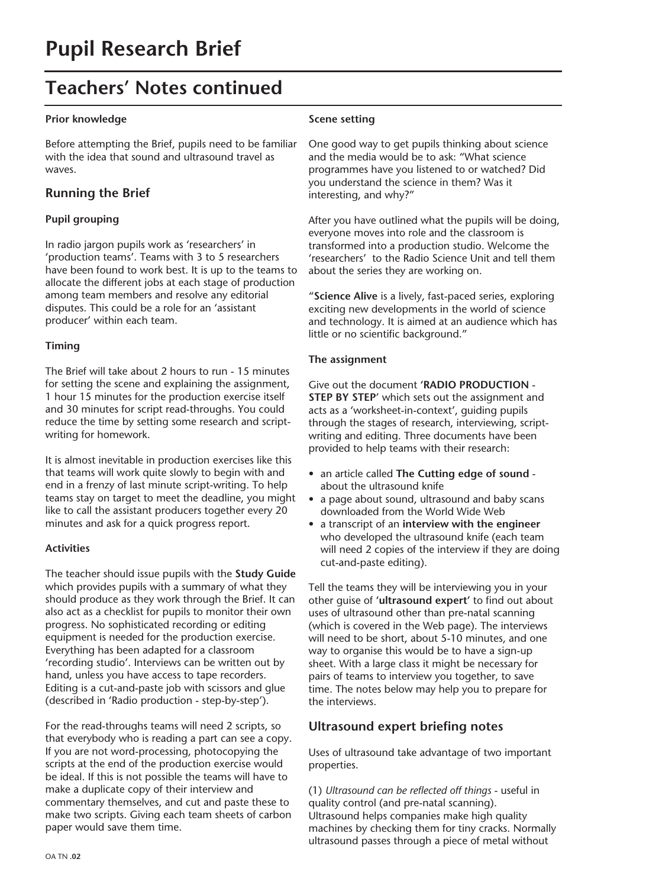# **Teachers' Notes continued**

#### **Prior knowledge**

Before attempting the Brief, pupils need to be familiar with the idea that sound and ultrasound travel as waves.

### **Running the Brief**

#### **Pupil grouping**

In radio jargon pupils work as 'researchers' in 'production teams'. Teams with 3 to 5 researchers have been found to work best. It is up to the teams to allocate the different jobs at each stage of production among team members and resolve any editorial disputes. This could be a role for an 'assistant producer' within each team.

#### **Timing**

The Brief will take about 2 hours to run - 15 minutes for setting the scene and explaining the assignment, 1 hour 15 minutes for the production exercise itself and 30 minutes for script read-throughs. You could reduce the time by setting some research and scriptwriting for homework.

It is almost inevitable in production exercises like this that teams will work quite slowly to begin with and end in a frenzy of last minute script-writing. To help teams stay on target to meet the deadline, you might like to call the assistant producers together every 20 minutes and ask for a quick progress report.

#### **Activities**

The teacher should issue pupils with the **Study Guide** which provides pupils with a summary of what they should produce as they work through the Brief. It can also act as a checklist for pupils to monitor their own progress. No sophisticated recording or editing equipment is needed for the production exercise. Everything has been adapted for a classroom 'recording studio'. Interviews can be written out by hand, unless you have access to tape recorders. Editing is a cut-and-paste job with scissors and glue (described in 'Radio production - step-by-step').

For the read-throughs teams will need 2 scripts, so that everybody who is reading a part can see a copy. If you are not word-processing, photocopying the scripts at the end of the production exercise would be ideal. If this is not possible the teams will have to make a duplicate copy of their interview and commentary themselves, and cut and paste these to make two scripts. Giving each team sheets of carbon paper would save them time.

#### **Scene setting**

One good way to get pupils thinking about science and the media would be to ask: "What science programmes have you listened to or watched? Did you understand the science in them? Was it interesting, and why?"

After you have outlined what the pupils will be doing, everyone moves into role and the classroom is transformed into a production studio. Welcome the 'researchers' to the Radio Science Unit and tell them about the series they are working on.

"**Science Alive** is a lively, fast-paced series, exploring exciting new developments in the world of science and technology. It is aimed at an audience which has little or no scientific background."

#### **The assignment**

Give out the document **'RADIO PRODUCTION - STEP BY STEP**' which sets out the assignment and acts as a 'worksheet-in-context', guiding pupils through the stages of research, interviewing, scriptwriting and editing. Three documents have been provided to help teams with their research:

- an article called **The Cutting edge of sound** about the ultrasound knife
- a page about sound, ultrasound and baby scans downloaded from the World Wide Web
- a transcript of an **interview with the engineer** who developed the ultrasound knife (each team will need 2 copies of the interview if they are doing cut-and-paste editing).

Tell the teams they will be interviewing you in your other guise of **'ultrasound expert'** to find out about uses of ultrasound other than pre-natal scanning (which is covered in the Web page). The interviews will need to be short, about 5-10 minutes, and one way to organise this would be to have a sign-up sheet. With a large class it might be necessary for pairs of teams to interview you together, to save time. The notes below may help you to prepare for the interviews.

### **Ultrasound expert briefing notes**

Uses of ultrasound take advantage of two important properties.

(1) *Ultrasound can be reflected off things* - useful in quality control (and pre-natal scanning). Ultrasound helps companies make high quality machines by checking them for tiny cracks. Normally ultrasound passes through a piece of metal without